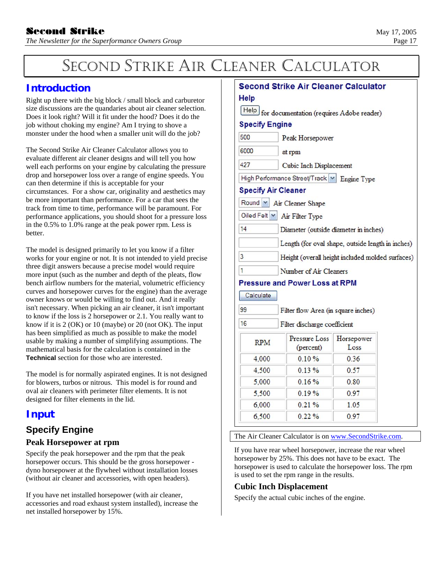# SECOND STRIKE AIR CLEANER CALCULATOR

# **Introduction**

Right up there with the big block / small block and carburetor size discussions are the quandaries about air cleaner selection. Does it look right? Will it fit under the hood? Does it do the job without choking my engine? Am I trying to shove a monster under the hood when a smaller unit will do the job?

The Second Strike Air Cleaner Calculator allows you to evaluate different air cleaner designs and will tell you how well each performs on your engine by calculating the pressure drop and horsepower loss over a range of engine speeds. You can then determine if this is acceptable for your circumstances. For a show car, originality and aesthetics may be more important than performance. For a car that sees the track from time to time, performance will be paramount. For performance applications, you should shoot for a pressure loss in the 0.5% to 1.0% range at the peak power rpm. Less is better.

The model is designed primarily to let you know if a filter works for your engine or not. It is not intended to yield precise three digit answers because a precise model would require more input (such as the number and depth of the pleats, flow bench airflow numbers for the material, volumetric efficiency curves and horsepower curves for the engine) than the average owner knows or would be willing to find out. And it really isn't necessary. When picking an air cleaner, it isn't important to know if the loss is 2 horsepower or 2.1. You really want to know if it is 2 (OK) or 10 (maybe) or 20 (not OK). The input has been simplified as much as possible to make the model usable by making a number of simplifying assumptions. The mathematical basis for the calculation is contained in the **Technical** section for those who are interested.

The model is for normally aspirated engines. It is not designed for blowers, turbos or nitrous. This model is for round and oval air cleaners with perimeter filter elements. It is not designed for filter elements in the lid.

# **Input**

# **Specify Engine**

## **Peak Horsepower at rpm**

Specify the peak horsepower and the rpm that the peak horsepower occurs. This should be the gross horsepower dyno horsepower at the flywheel without installation losses (without air cleaner and accessories, with open headers).

If you have net installed horsepower (with air cleaner, accessories and road exhaust system installed), increase the net installed horsepower by 15%.

| Second Strike Air Cleaner Calculator |                                                   |                    |  |  |  |
|--------------------------------------|---------------------------------------------------|--------------------|--|--|--|
| Help                                 |                                                   |                    |  |  |  |
|                                      | Help for documentation (requires Adobe reader)    |                    |  |  |  |
| <b>Specify Engine</b>                |                                                   |                    |  |  |  |
| 500                                  | Peak Horsepower                                   |                    |  |  |  |
| 6000                                 | at rpm                                            |                    |  |  |  |
| 427                                  | Cubic Inch Displacement                           |                    |  |  |  |
|                                      | High Performance Street/Track M Engine Type       |                    |  |  |  |
| <b>Specify Air Cleaner</b>           |                                                   |                    |  |  |  |
|                                      | Round Y Air Cleaner Shape                         |                    |  |  |  |
|                                      | Oiled Felt   M   Air Filter Type                  |                    |  |  |  |
| 14                                   | Diameter (outside diameter in inches)             |                    |  |  |  |
|                                      | Length (for oval shape, outside length in inches) |                    |  |  |  |
| 3                                    | Height (overall height included molded surfaces)  |                    |  |  |  |
| 1<br>Number of Air Cleaners          |                                                   |                    |  |  |  |
|                                      | <b>Pressure and Power Loss at RPM</b>             |                    |  |  |  |
| Calculate                            |                                                   |                    |  |  |  |
| 99                                   | Filter flow Area (in square inches)               |                    |  |  |  |
| 16                                   | Filter discharge coefficient                      |                    |  |  |  |
| <b>RPM</b>                           | Pressure Loss<br>(percent)                        | Horsepower<br>Loss |  |  |  |
| 4,000                                | 0.10%                                             | 0.36               |  |  |  |
| 4,500                                | 0.13%                                             | 0.57               |  |  |  |
| 5,000                                | 0.16%                                             | 0.80               |  |  |  |
| 5,500                                | 0.19%                                             | 0.97               |  |  |  |
| 6,000                                | 0.21%                                             | 1.05               |  |  |  |
| 6,500<br>0.22%<br>0.97               |                                                   |                    |  |  |  |

The Air Cleaner Calculator is on [www.SecondStrike.com.](http://www.secondstrike.com/)

If you have rear wheel horsepower, increase the rear wheel horsepower by 25%. This does not have to be exact. The horsepower is used to calculate the horsepower loss. The rpm is used to set the rpm range in the results.

### **Cubic Inch Displacement**

Specify the actual cubic inches of the engine.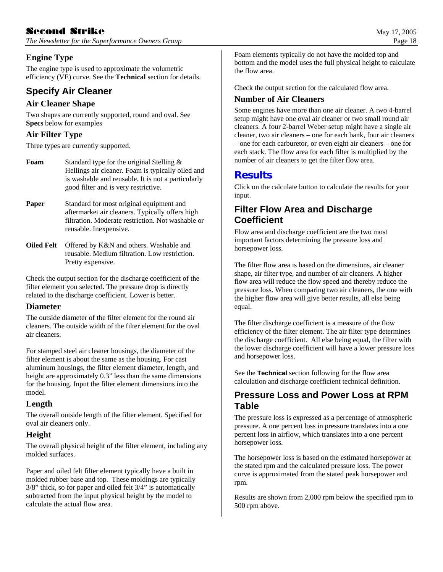# $\bf \color{red} 8c$ cond  $\bf \color{red} 8f$ rike May 17, 2005

*The Newsletter for the Superformance Owners Group* **Page 18 Page 18 Page 18** 

## **Engine Type**

The engine type is used to approximate the volumetric efficiency (VE) curve. See the **Technical** section for details.

# **Specify Air Cleaner**

## **Air Cleaner Shape**

Two shapes are currently supported, round and oval. See **Specs** below for examples

## **Air Filter Type**

Three types are currently supported.

| Foam | Standard type for the original Stelling $\&$       |
|------|----------------------------------------------------|
|      | Hellings air cleaner. Foam is typically oiled and  |
|      | is washable and reusable. It is not a particularly |
|      | good filter and is very restrictive.               |

**Paper** Standard for most original equipment and aftermarket air cleaners. Typically offers high filtration. Moderate restriction. Not washable or reusable. Inexpensive.

**Oiled Felt** Offered by K&N and others. Washable and reusable. Medium filtration. Low restriction. Pretty expensive.

Check the output section for the discharge coefficient of the filter element you selected. The pressure drop is directly related to the discharge coefficient. Lower is better.

### **Diameter**

The outside diameter of the filter element for the round air cleaners. The outside width of the filter element for the oval air cleaners.

For stamped steel air cleaner housings, the diameter of the filter element is about the same as the housing. For cast aluminum housings, the filter element diameter, length, and height are approximately 0.3" less than the same dimensions for the housing. Input the filter element dimensions into the model.

## **Length**

The overall outside length of the filter element. Specified for oval air cleaners only.

## **Height**

The overall physical height of the filter element, including any molded surfaces.

Paper and oiled felt filter element typically have a built in molded rubber base and top. These moldings are typically 3/8" thick, so for paper and oiled felt 3/4" is automatically subtracted from the input physical height by the model to calculate the actual flow area.

Foam elements typically do not have the molded top and bottom and the model uses the full physical height to calculate the flow area.

Check the output section for the calculated flow area.

## **Number of Air Cleaners**

Some engines have more than one air cleaner. A two 4-barrel setup might have one oval air cleaner or two small round air cleaners. A four 2-barrel Weber setup might have a single air cleaner, two air cleaners – one for each bank, four air cleaners – one for each carburetor, or even eight air cleaners – one for each stack. The flow area for each filter is multiplied by the number of air cleaners to get the filter flow area.

# **Results**

Click on the calculate button to calculate the results for your input.

# **Filter Flow Area and Discharge Coefficient**

Flow area and discharge coefficient are the two most important factors determining the pressure loss and horsepower loss.

The filter flow area is based on the dimensions, air cleaner shape, air filter type, and number of air cleaners. A higher flow area will reduce the flow speed and thereby reduce the pressure loss. When comparing two air cleaners, the one with the higher flow area will give better results, all else being equal.

The filter discharge coefficient is a measure of the flow efficiency of the filter element. The air filter type determines the discharge coefficient. All else being equal, the filter with the lower discharge coefficient will have a lower pressure loss and horsepower loss.

See the **Technical** section following for the flow area calculation and discharge coefficient technical definition.

# **Pressure Loss and Power Loss at RPM Table**

The pressure loss is expressed as a percentage of atmospheric pressure. A one percent loss in pressure translates into a one percent loss in airflow, which translates into a one percent horsepower loss.

The horsepower loss is based on the estimated horsepower at the stated rpm and the calculated pressure loss. The power curve is approximated from the stated peak horsepower and rpm.

Results are shown from 2,000 rpm below the specified rpm to 500 rpm above.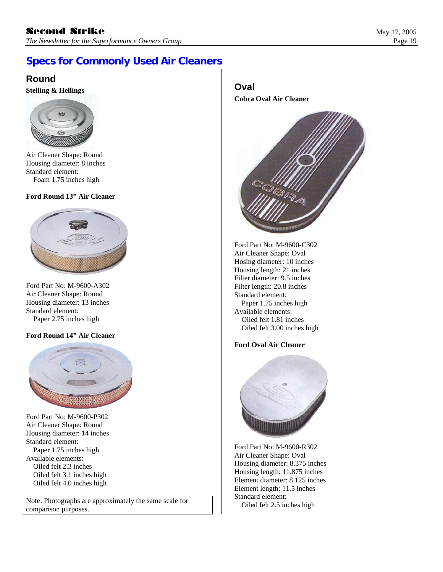# **Specs for Commonly Used Air Cleaners**

# **Round**

**Stelling & Hellings Calculated According & Hellings Calculated According to**  $\alpha$  **<b>Calculated According & Hellings** 



Air Cleaner Shape: Round Housing diameter: 8 inches Standard element: Foam 1.75 inches high

#### **Ford Round 13" Air Cleaner**



Ford Part No: M-9600-A302 Filter length: 20.8 inches Air Cleaner Shape: Round Standard element: Housing diameter: 13 inches Paper 1.75 inches high Standard element: Available elements: Paper 2.75 inches high Oiled felt 1.81 inches

#### **Ford Round 14" Air Cleaner**



Ford Part No: M-9600-P302 Air Cleaner Shape: Round Housing diameter: 14 inches Standard element: Ford Part No: M-9600-R302<br>
Paper 1.75 inches high Ford Part No: M-9600-R302<br>
Available elements: Available elements:

Note: Photographs are approximately the same scale for a control of the Standard element. comparison purposes.

**Cobra Oval Air Cleaner** 



Ford Part No: M-9600-C302 Air Cleaner Shape: Oval Hosing diameter: 10 inches Housing length: 21 inches Filter diameter: 9.5 inches Available elements: Oiled felt 3.00 inches high

#### **Ford Oval Air Cleaner**



Vande de Comentes.<br>
Oiled felt 2.3 inches high and the Housing diameter: 8.375 inches Oiled felt 3.1 inches high and the Housing length: 11.875 inches Oiled felt 3.1 inches high Housing length: 11.875 inches Oiled felt 3.1 inches high Element diameter: 8.125 inches Element length: 11.5 inches Element length: 11.5 inches Standard element: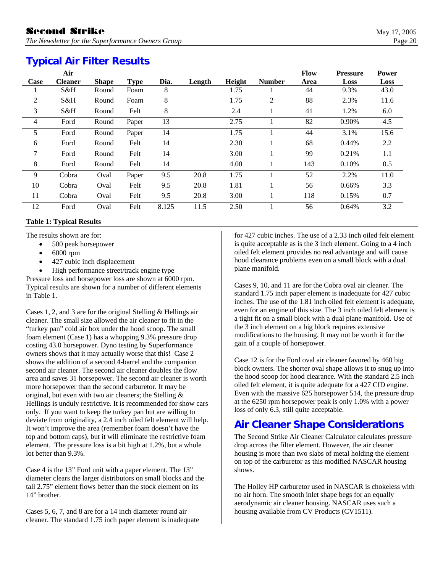# **Typical Air Filter Results**

|                | Air            |              |             |       |        |        |               | <b>Flow</b> | <b>Pressure</b> | <b>Power</b> |
|----------------|----------------|--------------|-------------|-------|--------|--------|---------------|-------------|-----------------|--------------|
| Case           | <b>Cleaner</b> | <b>Shape</b> | <b>Type</b> | Dia.  | Length | Height | <b>Number</b> | Area        | Loss            | Loss         |
| 1              | S&H            | Round        | Foam        | 8     |        | 1.75   |               | 44          | 9.3%            | 43.0         |
| $\overline{2}$ | S&H            | Round        | Foam        | 8     |        | 1.75   | 2             | 88          | 2.3%            | 11.6         |
| 3              | S&H            | Round        | Felt        | 8     |        | 2.4    |               | 41          | 1.2%            | 6.0          |
| $\overline{4}$ | Ford           | Round        | Paper       | 13    |        | 2.75   |               | 82          | 0.90%           | 4.5          |
| 5              | Ford           | Round        | Paper       | 14    |        | 1.75   |               | 44          | 3.1%            | 15.6         |
| 6              | Ford           | Round        | Felt        | 14    |        | 2.30   |               | 68          | 0.44%           | 2.2          |
| 7              | Ford           | Round        | Felt        | 14    |        | 3.00   |               | 99          | 0.21%           | $1.1\,$      |
| 8              | Ford           | Round        | Felt        | 14    |        | 4.00   |               | 143         | 0.10%           | 0.5          |
| 9              | Cobra          | Oval         | Paper       | 9.5   | 20.8   | 1.75   |               | 52          | 2.2%            | 11.0         |
| 10             | Cobra          | Oval         | Felt        | 9.5   | 20.8   | 1.81   |               | 56          | 0.66%           | 3.3          |
| 11             | Cobra          | Oval         | Felt        | 9.5   | 20.8   | 3.00   |               | 118         | 0.15%           | 0.7          |
| 12             | Ford           | Oval         | Felt        | 8.125 | 11.5   | 2.50   |               | 56          | 0.64%           | 3.2          |

#### **Table 1: Typical Results**

The results shown are for:

- 500 peak horsepower
- $\bullet$  6000 rpm
- 427 cubic inch displacement
- High performance street/track engine type Pressure loss and horsepower loss are shown at 6000 rpm.

Typical results are shown for a number of different elements in Table 1.

Cases 1, 2, and 3 are for the original Stelling & Hellings air cleaner. The small size allowed the air cleaner to fit in the "turkey pan" cold air box under the hood scoop. The small foam element (Case 1) has a whopping 9.3% pressure drop costing 43.0 horsepower. Dyno testing by Superformance owners shows that it may actually worse that this! Case 2 shows the addition of a second 4-barrel and the companion second air cleaner. The second air cleaner doubles the flow area and saves 31 horsepower. The second air cleaner is worth more horsepower than the second carburetor. It may be original, but even with two air cleaners; the Stelling & Hellings is unduly restrictive. It is recommended for show cars only. If you want to keep the turkey pan but are willing to deviate from originality, a 2.4 inch oiled felt element will help. It won't improve the area (remember foam doesn't have the top and bottom caps), but it will eliminate the restrictive foam element. The pressure loss is a bit high at 1.2%, but a whole lot better than 9.3%.

Case 4 is the 13" Ford unit with a paper element. The 13" diameter clears the larger distributors on small blocks and the tall 2.75" element flows better than the stock element on its 14" brother.

Cases 5, 6, 7, and 8 are for a 14 inch diameter round air cleaner. The standard 1.75 inch paper element is inadequate

for 427 cubic inches. The use of a 2.33 inch oiled felt element is quite acceptable as is the 3 inch element. Going to a 4 inch oiled felt element provides no real advantage and will cause hood clearance problems even on a small block with a dual plane manifold.

Cases 9, 10, and 11 are for the Cobra oval air cleaner. The standard 1.75 inch paper element is inadequate for 427 cubic inches. The use of the 1.81 inch oiled felt element is adequate, even for an engine of this size. The 3 inch oiled felt element is a tight fit on a small block with a dual plane manifold. Use of the 3 inch element on a big block requires extensive modifications to the housing. It may not be worth it for the gain of a couple of horsepower.

Case 12 is for the Ford oval air cleaner favored by 460 big block owners. The shorter oval shape allows it to snug up into the hood scoop for hood clearance. With the standard 2.5 inch oiled felt element, it is quite adequate for a 427 CID engine. Even with the massive 625 horsepower 514, the pressure drop at the 6250 rpm horsepower peak is only 1.0% with a power loss of only 6.3, still quite acceptable.

# **Air Cleaner Shape Considerations**

The Second Strike Air Cleaner Calculator calculates pressure drop across the filter element. However, the air cleaner housing is more than two slabs of metal holding the element on top of the carburetor as this modified NASCAR housing shows.

The Holley HP carburetor used in NASCAR is chokeless with no air horn. The smooth inlet shape begs for an equally aerodynamic air cleaner housing. NASCAR uses such a housing available from CV Products (CV1511).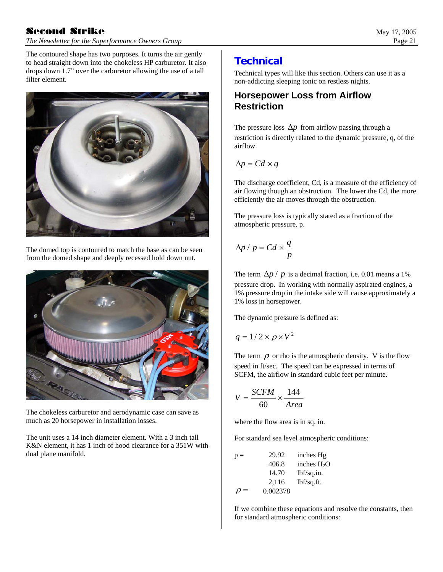# $\textbf{Second} \quad \textbf{Strike} \quad \text{May 17, 2005}$

*The Newsletter for the Superformance Owners Group* **Page 21 Page 21 Page 21** 

The contoured shape has two purposes. It turns the air gently to head straight down into the chokeless HP carburetor. It also drops down 1.7" over the carburetor allowing the use of a tall filter element.



The domed top is contoured to match the base as can be seen from the domed shape and deeply recessed hold down nut.



The chokeless carburetor and aerodynamic case can save as much as 20 horsepower in installation losses.

The unit uses a 14 inch diameter element. With a 3 inch tall K&N element, it has 1 inch of hood clearance for a 351W with dual plane manifold.

# **Technical**

Technical types will like this section. Others can use it as a non-addicting sleeping tonic on restless nights.

# **Horsepower Loss from Airflow Restriction**

The pressure loss  $\Delta p$  from airflow passing through a restriction is directly related to the dynamic pressure, q, of the airflow.

$$
\Delta p = C d \times q
$$

The discharge coefficient, Cd, is a measure of the efficiency of air flowing though an obstruction. The lower the Cd, the more efficiently the air moves through the obstruction.

The pressure loss is typically stated as a fraction of the atmospheric pressure, p.

$$
\Delta p / p = C d \times \frac{q}{p}
$$

The term  $\Delta p / p$  is a decimal fraction, i.e. 0.01 means a 1% pressure drop. In working with normally aspirated engines, a 1% pressure drop in the intake side will cause approximately a 1% loss in horsepower.

The dynamic pressure is defined as:

$$
q = 1/2 \times \rho \times V^2
$$

The term  $\rho$  or rho is the atmospheric density. V is the flow speed in ft/sec. The speed can be expressed in terms of SCFM, the airflow in standard cubic feet per minute.

$$
V = \frac{SCFM}{60} \times \frac{144}{Area}
$$

where the flow area is in sq. in.

For standard sea level atmospheric conditions:

| $p =$    | 29.92    | inches Hg    |
|----------|----------|--------------|
|          | 406.8    | inches $H2O$ |
|          | 14.70    | lbf/sq.in.   |
|          | 2,116    | lbf/sq.fit.  |
| $\rho =$ | 0.002378 |              |

If we combine these equations and resolve the constants, then for standard atmospheric conditions: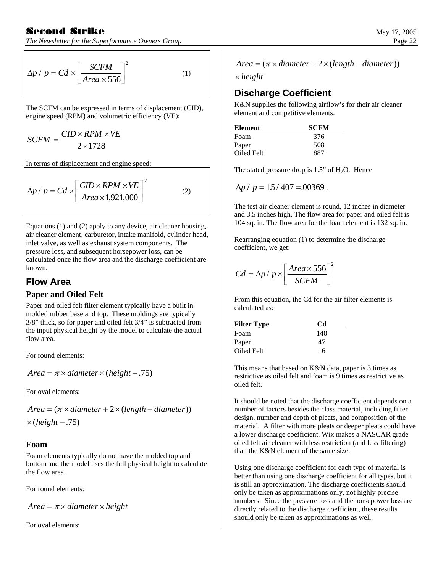## Second Strike

*The Newsletter for the Superformance Owners Group* 

$$
\Delta p / p = C d \times \left[ \frac{SCFM}{Area \times 556} \right]^2 \tag{1}
$$

The SCFM can be expressed in terms of displacement (CID), engine speed (RPM) and volumetric efficiency (VE):

$$
SCFM = \frac{CID \times RPM \times VE}{2 \times 1728}
$$

In terms of displacement and engine speed:

$$
\Delta p / p = C d \times \left[ \frac{CID \times RPM \times VE}{Area \times 1,921,000} \right]^2 \tag{2}
$$

Equations (1) and (2) apply to any device, air cleaner housing, air cleaner element, carburetor, intake manifold, cylinder head, inlet valve, as well as exhaust system components. The pressure loss, and subsequent horsepower loss, can be calculated once the flow area and the discharge coefficient are known.

# **Flow Area**

### **Paper and Oiled Felt**

Paper and oiled felt filter element typically have a built in molded rubber base and top. These moldings are typically 3/8" thick, so for paper and oiled felt 3/4" is subtracted from the input physical height by the model to calculate the actual flow area.

For round elements:

 $Area = \pi \times diameter \times (height - .75)$ 

For oval elements:

 $\times$  (height - .75)  $Area = (\pi \times diameter + 2 \times (length - diameter))$ 

#### **Foam**

Foam elements typically do not have the molded top and bottom and the model uses the full physical height to calculate the flow area.

For round elements:

 $Area = \pi \times diameter \times height$ 

For oval elements:

$$
Area = (\pi \times diameter + 2 \times (length - diameter))
$$

*height*

# **Discharge Coefficient**

K&N supplies the following airflow's for their air cleaner element and competitive elements.

| Element    | <b>SCFM</b> |
|------------|-------------|
| Foam       | 376         |
| Paper      | 508         |
| Oiled Felt | 887         |

The stated pressure drop is  $1.5$ " of  $H<sub>2</sub>O$ . Hence

$$
\Delta p / p = 1.5 / 407 = 0.00369
$$
.

The test air cleaner element is round, 12 inches in diameter and 3.5 inches high. The flow area for paper and oiled felt is 104 sq. in. The flow area for the foam element is 132 sq. in.

Rearranging equation (1) to determine the discharge coefficient, we get:

$$
Cd = \Delta p / p \times \left[ \frac{Area \times 556}{SCFM} \right]^2
$$

From this equation, the Cd for the air filter elements is calculated as:

| <b>Filter Type</b> | Cd  |
|--------------------|-----|
| Foam               | 140 |
| Paper              | 47  |
| Oiled Felt         | 16  |

This means that based on K&N data, paper is 3 times as restrictive as oiled felt and foam is 9 times as restrictive as oiled felt.

It should be noted that the discharge coefficient depends on a number of factors besides the class material, including filter design, number and depth of pleats, and composition of the material. A filter with more pleats or deeper pleats could have a lower discharge coefficient. Wix makes a NASCAR grade oiled felt air cleaner with less restriction (and less filtering) than the K&N element of the same size.

Using one discharge coefficient for each type of material is better than using one discharge coefficient for all types, but it is still an approximation. The discharge coefficients should only be taken as approximations only, not highly precise numbers. Since the pressure loss and the horsepower loss are directly related to the discharge coefficient, these results should only be taken as approximations as well.